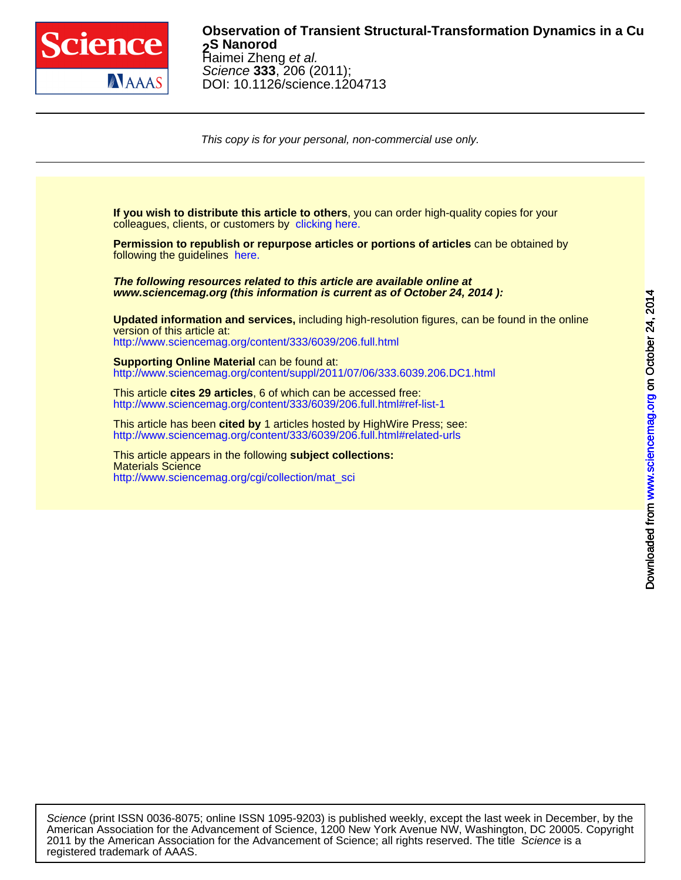

### DOI: 10.1126/science.1204713 Science **333**, 206 (2011); Haimei Zheng et al. **S Nanorod 2 Observation of Transient Structural-Transformation Dynamics in a Cu**

This copy is for your personal, non-commercial use only.

colleagues, clients, or customers by [clicking here.](http://www.sciencemag.org/about/permissions.dtl) **If you wish to distribute this article to others**, you can order high-quality copies for your

following the guidelines [here.](http://www.sciencemag.org/about/permissions.dtl) **Permission to republish or repurpose articles or portions of articles** can be obtained by

**www.sciencemag.org (this information is current as of October 24, 2014 ): The following resources related to this article are available online at**

<http://www.sciencemag.org/content/333/6039/206.full.html> version of this article at: **Updated information and services,** including high-resolution figures, can be found in the online

[http://www.sciencemag.org/content/suppl/2011/07/06/333.6039.206.DC1.html](http://www.sciencemag.org/content/suppl/2011/07/06/333.6039.206.DC1.html )  **Supporting Online Material** can be found at:

<http://www.sciencemag.org/content/333/6039/206.full.html#ref-list-1> This article **cites 29 articles**, 6 of which can be accessed free:

<http://www.sciencemag.org/content/333/6039/206.full.html#related-urls> This article has been **cited by** 1 articles hosted by HighWire Press; see:

[http://www.sciencemag.org/cgi/collection/mat\\_sci](http://www.sciencemag.org/cgi/collection/mat_sci) Materials Science This article appears in the following **subject collections:**

registered trademark of AAAS. 2011 by the American Association for the Advancement of Science; all rights reserved. The title Science is a American Association for the Advancement of Science, 1200 New York Avenue NW, Washington, DC 20005. Copyright Science (print ISSN 0036-8075; online ISSN 1095-9203) is published weekly, except the last week in December, by the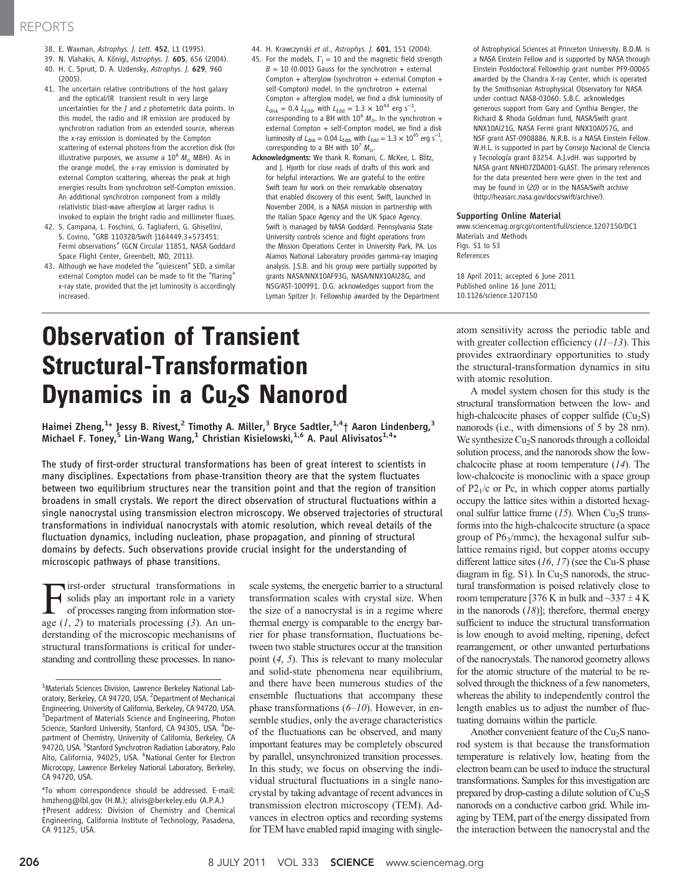## REPORTS

- 38. E. Waxman, Astrophys. J. Lett. 452, L1 (1995).
- 39. N. Vlahakis, A. Königl, Astrophys. J. 605, 656 (2004).
- 40. H. C. Spruit, D. A. Uzdensky, Astrophys. J. 629, 960 (2005).
- 41. The uncertain relative contributions of the host galaxy and the optical/IR transient result in very large uncertainties for the J and z photometric data points. In this model, the radio and IR emission are produced by synchrotron radiation from an extended source, whereas the x-ray emission is dominated by the Compton scattering of external photons from the accretion disk (for illustrative purposes, we assume a  $10^6$   $M_{\odot}$  MBH). As in the orange model, the x-ray emission is dominated by external Compton scattering, whereas the peak at high energies results from synchrotron self-Compton emission. An additional synchrotron component from a mildly relativistic blast-wave afterglow at larger radius is invoked to explain the bright radio and millimeter fluxes.
- 42. S. Campana, L. Foschini, G. Tagliaferri, G. Ghisellini, S. Covino, "GRB 110328/Swift J164449.3+573451: Fermi observations" (GCN Circular 11851, NASA Goddard Space Flight Center, Greenbelt, MD, 2011).
- 43. Although we have modeled the "quiescent" SED, a similar external Compton model can be made to fit the "flaring" x-ray state, provided that the jet luminosity is accordingly increased.
- 44. H. Krawczynski et al., Astrophys. J. 601, 151 (2004).
- 45. For the models,  $\Gamma_i = 10$  and the magnetic field strength  $B = 10$  (0.001) Gauss for the synchrotron + external Compton + afterglow (synchrotron + external Compton + self-Compton) model. In the synchrotron + external Compton + afterglow model, we find a disk luminosity of  $L_{\text{disk}} = 0.4 L_{\text{Edd}}$ , with  $L_{\text{Edd}} = 1.3 \times 10^{44} \text{ erg s}^{-1}$ , corresponding to a BH with  $10^6$  M<sub>o</sub>. In the synchrotron + external Compton + self-Compton model, we find a disk luminosity of  $L_{\text{disk}} = 0.04 L_{\text{Edd}}$ , with  $L_{\text{Edd}} = 1.3 \times 10^{45} \text{ erg s}^{-1}$ , corresponding to a BH with  $10^7$   $M_{\odot}$ .
- Acknowledgments: We thank R. Romani, C. McKee, L. Blitz, and J. Hjorth for close reads of drafts of this work and for helpful interactions. We are grateful to the entire Swift team for work on their remarkable observatory that enabled discovery of this event. Swift, launched in November 2004, is a NASA mission in partnership with the Italian Space Agency and the UK Space Agency. Swift is managed by NASA Goddard. Pennsylvania State University controls science and flight operations from the Mission Operations Center in University Park, PA. Los Alamos National Laboratory provides gamma-ray imaging analysis. J.S.B. and his group were partially supported by grants NASA/NNX10AF93G, NASA/NNX10AI28G, and NSG/AST-100991. D.G. acknowledges support from the Lyman Spitzer Jr. Fellowship awarded by the Department

of Astrophysical Sciences at Princeton University. B.D.M. is a NASA Einstein Fellow and is supported by NASA through Einstein Postdoctoral Fellowship grant number PF9-00065 awarded by the Chandra X-ray Center, which is operated by the Smithsonian Astrophysical Observatory for NASA under contract NAS8-03060. S.B.C. acknowledges generous support from Gary and Cynthia Bengier, the Richard & Rhoda Goldman fund, NASA/Swift grant NNX10AI21G, NASA Fermi grant NNX10A057G, and NSF grant AST-0908886. N.R.B. is a NASA Einstein Fellow. W.H.L. is supported in part by Consejo Nacional de Ciencia y Tecnología grant 83254. A.J.vdH. was supported by NASA grant NNH07ZDA001-GLAST. The primary references for the data presented here were given in the text and may be found in (20) or in the NASA/Swift archive (http://heasarc.nasa.gov/docs/swift/archive/).

#### Supporting Online Material

www.sciencemag.org/cgi/content/full/science.1207150/DC1 Materials and Methods Figs. S1 to S3 References

18 April 2011; accepted 6 June 2011 Published online 16 June 2011; 10.1126/science.1207150

# Observation of Transient Structural-Transformation Dynamics in a Cu<sub>2</sub>S Nanorod

Haimei Zheng,<sup>1</sup>\* Jessy B. Rivest,<sup>2</sup> Timothy A. Miller,<sup>3</sup> Bryce Sadtler,<sup>1,4</sup>† Aaron Lindenberg,<sup>3</sup> Michael F. Toney,<sup>5</sup> Lin-Wang Wang,<sup>1</sup> Christian Kisielowski,<sup>1,6</sup> A. Paul Alivisatos<sup>1,4</sup>\*

The study of first-order structural transformations has been of great interest to scientists in many disciplines. Expectations from phase-transition theory are that the system fluctuates between two equilibrium structures near the transition point and that the region of transition broadens in small crystals. We report the direct observation of structural fluctuations within a single nanocrystal using transmission electron microscopy. We observed trajectories of structural transformations in individual nanocrystals with atomic resolution, which reveal details of the fluctuation dynamics, including nucleation, phase propagation, and pinning of structural domains by defects. Such observations provide crucial insight for the understanding of microscopic pathways of phase transitions.

First-order structural transformations in solids play an important role in a variety of processes ranging from information storage  $(1, 2)$  to materials processing  $(3)$ . An understanding of the microscopic mechanisms of structural transformations is critical for understanding and controlling these processes. In nanoscale systems, the energetic barrier to a structural transformation scales with crystal size. When the size of a nanocrystal is in a regime where thermal energy is comparable to the energy barrier for phase transformation, fluctuations between two stable structures occur at the transition point (4, 5). This is relevant to many molecular and solid-state phenomena near equilibrium, and there have been numerous studies of the ensemble fluctuations that accompany these phase transformations  $(6–10)$ . However, in ensemble studies, only the average characteristics of the fluctuations can be observed, and many important features may be completely obscured by parallel, unsynchronized transition processes. In this study, we focus on observing the individual structural fluctuations in a single nanocrystal by taking advantage of recent advances in transmission electron microscopy (TEM). Advances in electron optics and recording systems for TEM have enabled rapid imaging with singleatom sensitivity across the periodic table and with greater collection efficiency  $(11-13)$ . This provides extraordinary opportunities to study the structural-transformation dynamics in situ with atomic resolution.

A model system chosen for this study is the structural transformation between the low- and high-chalcocite phases of copper sulfide  $(Cu_2S)$ nanorods (i.e., with dimensions of 5 by 28 nm). We synthesize  $Cu<sub>2</sub>S$  nanorods through a colloidal solution process, and the nanorods show the lowchalcocite phase at room temperature (14). The low-chalcocite is monoclinic with a space group of  $P2<sub>1</sub>/c$  or Pc, in which copper atoms partially occupy the lattice sites within a distorted hexagonal sulfur lattice frame  $(15)$ . When Cu<sub>2</sub>S transforms into the high-chalcocite structure (a space group of  $P6_3/mmc$ ), the hexagonal sulfur sublattice remains rigid, but copper atoms occupy different lattice sites  $(16, 17)$  (see the Cu-S phase diagram in fig.  $S1$ ). In Cu<sub>2</sub>S nanorods, the structural transformation is poised relatively close to room temperature [376 K in bulk and  $\sim$ 337  $\pm$  4 K in the nanorods  $(18)$ ]; therefore, thermal energy sufficient to induce the structural transformation is low enough to avoid melting, ripening, defect rearrangement, or other unwanted perturbations of the nanocrystals. The nanorod geometry allows for the atomic structure of the material to be resolved through the thickness of a few nanometers, whereas the ability to independently control the length enables us to adjust the number of fluctuating domains within the particle.

Another convenient feature of the  $Cu<sub>2</sub>S$  nanorod system is that because the transformation temperature is relatively low, heating from the electron beam can be used to induce the structural transformations. Samples for this investigation are prepared by drop-casting a dilute solution of  $Cu<sub>2</sub>S$ nanorods on a conductive carbon grid. While imaging by TEM, part of the energy dissipated from the interaction between the nanocrystal and the

<sup>&</sup>lt;sup>1</sup>Materials Sciences Division, Lawrence Berkeley National Laboratory, Berkeley, CA 94720, USA. <sup>2</sup> Department of Mechanical Engineering, University of California, Berkeley, CA 94720, USA. <sup>3</sup>Department of Materials Science and Engineering, Photon Science, Stanford University, Stanford, CA 94305, USA. <sup>4</sup>Department of Chemistry, University of California, Berkeley, CA .<br>94720, USA. <sup>5</sup>Stanford Synchrotron Radiation Laboratory, Palo Alto, California, 94025, USA. <sup>6</sup>National Center for Electron Microcopy, Lawrence Berkeley National Laboratory, Berkeley, CA 94720, USA.

<sup>\*</sup>To whom correspondence should be addressed. E-mail: hmzheng@lbl.gov (H.M.); alivis@berkeley.edu (A.P.A.) †Present address: Division of Chemistry and Chemical Engineering, California Institute of Technology, Pasadena, CA 91125, USA.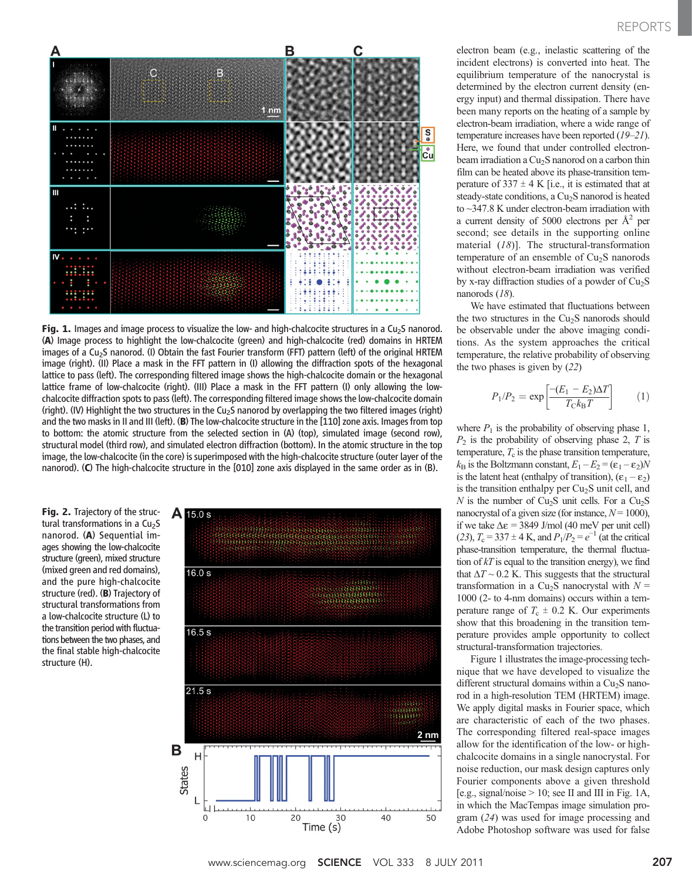

Fig. 1. Images and image process to visualize the low- and high-chalcocite structures in a Cu<sub>2</sub>S nanorod. (A) Image process to highlight the low-chalcocite (green) and high-chalcocite (red) domains in HRTEM images of a Cu<sub>2</sub>S nanorod. (I) Obtain the fast Fourier transform (FFT) pattern (left) of the original HRTEM image (right). (II) Place a mask in the FFT pattern in (I) allowing the diffraction spots of the hexagonal lattice to pass (left). The corresponding filtered image shows the high-chalcocite domain or the hexagonal lattice frame of low-chalcocite (right). (III) Place a mask in the FFT pattern (I) only allowing the lowchalcocite diffraction spots to pass (left). The corresponding filtered image shows the low-chalcocite domain (right). (IV) Highlight the two structures in the Cu<sub>2</sub>S nanorod by overlapping the two filtered images (right) and the two masks in II and III (left). (B) The low-chalcocite structure in the [110] zone axis. Images from top to bottom: the atomic structure from the selected section in (A) (top), simulated image (second row), structural model (third row), and simulated electron diffraction (bottom). In the atomic structure in the top image, the low-chalcocite (in the core) is superimposed with the high-chalcocite structure (outer layer of the nanorod). (C) The high-chalcocite structure in the [010] zone axis displayed in the same order as in (B).

Fig. 2. Trajectory of the structural transformations in a  $Cu<sub>2</sub>S$ nanorod. (A) Sequential images showing the low-chalcocite structure (green), mixed structure (mixed green and red domains), and the pure high-chalcocite structure (red). (B) Trajectory of structural transformations from a low-chalcocite structure (L) to the transition period with fluctuations between the two phases, and the final stable high-chalcocite structure (H).



electron beam (e.g., inelastic scattering of the incident electrons) is converted into heat. The equilibrium temperature of the nanocrystal is determined by the electron current density (energy input) and thermal dissipation. There have been many reports on the heating of a sample by electron-beam irradiation, where a wide range of temperature increases have been reported (19–21). Here, we found that under controlled electronbeam irradiation a Cu<sub>2</sub>S nanorod on a carbon thin film can be heated above its phase-transition temperature of  $337 \pm 4$  K [i.e., it is estimated that at steady-state conditions, a Cu<sub>2</sub>S nanorod is heated to ~347.8 K under electron-beam irradiation with a current density of 5000 electrons per  $A^2$  per second; see details in the supporting online material  $(18)$ ]. The structural-transformation temperature of an ensemble of  $Cu<sub>2</sub>S$  nanorods without electron-beam irradiation was verified by x-ray diffraction studies of a powder of  $Cu<sub>2</sub>S$ nanorods (18).

We have estimated that fluctuations between the two structures in the  $Cu<sub>2</sub>S$  nanorods should be observable under the above imaging conditions. As the system approaches the critical temperature, the relative probability of observing the two phases is given by (22)

$$
P_1/P_2 = \exp\left[\frac{-(E_1 - E_2)\Delta T}{T_C k_B T}\right] \tag{1}
$$

where  $P_1$  is the probability of observing phase 1,  $P<sub>2</sub>$  is the probability of observing phase 2, T is temperature,  $T_c$  is the phase transition temperature,  $k_B$  is the Boltzmann constant,  $E_1 - E_2 = (\epsilon_1 - \epsilon_2)N$ is the latent heat (enthalpy of transition),  $(\epsilon_1 - \epsilon_2)$ is the transition enthalpy per  $Cu<sub>2</sub>S$  unit cell, and N is the number of  $Cu<sub>2</sub>S$  unit cells. For a  $Cu<sub>2</sub>S$ nanocrystal of a given size (for instance,  $N = 1000$ ), if we take ∆e = 3849 J/mol (40 meV per unit cell) (23),  $T_c = 337 \pm 4$  K, and  $P_1/P_2 = e^{-1}$  (at the critical phase-transition temperature, the thermal fluctuation of  $kT$  is equal to the transition energy), we find that  $\Delta T \sim 0.2$  K. This suggests that the structural transformation in a Cu<sub>2</sub>S nanocrystal with  $N =$ 1000 (2- to 4-nm domains) occurs within a temperature range of  $T_c \pm 0.2$  K. Our experiments show that this broadening in the transition temperature provides ample opportunity to collect structural-transformation trajectories.

Figure 1 illustrates the image-processing technique that we have developed to visualize the different structural domains within a  $Cu<sub>2</sub>S$  nanorod in a high-resolution TEM (HRTEM) image. We apply digital masks in Fourier space, which are characteristic of each of the two phases. The corresponding filtered real-space images allow for the identification of the low- or highchalcocite domains in a single nanocrystal. For noise reduction, our mask design captures only Fourier components above a given threshold [e.g., signal/noise  $> 10$ ; see II and III in Fig. 1A, in which the MacTempas image simulation program (24) was used for image processing and Adobe Photoshop software was used for false

www.sciencemag.org **SCIENCE** VOL 333 8 JULY 2011 207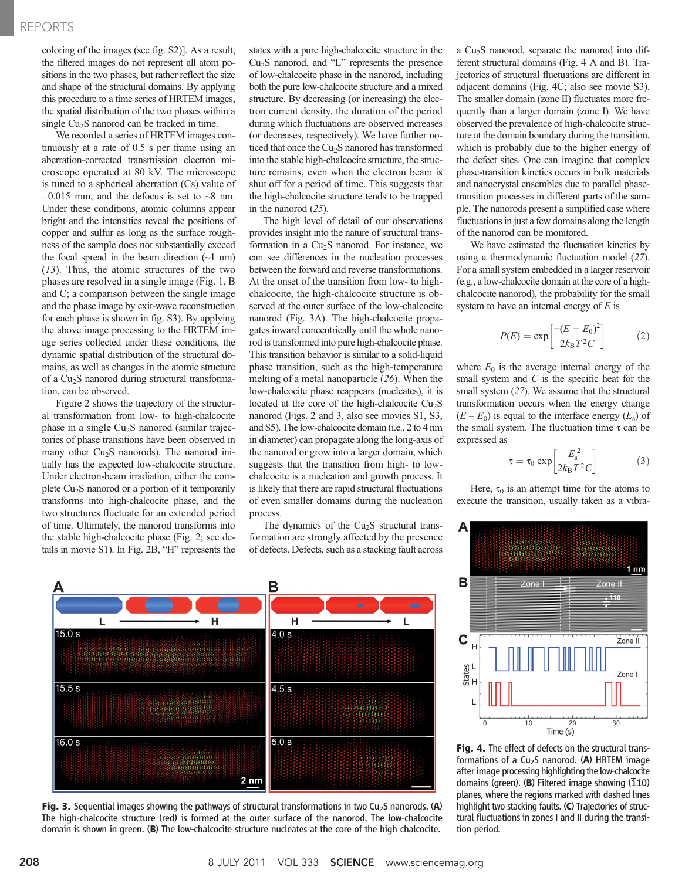### REPORTS

coloring of the images (see fig. S2)]. As a result, the filtered images do not represent all atom positions in the two phases, but rather reflect the size and shape of the structural domains. By applying this procedure to a time series of HRTEM images, the spatial distribution of the two phases within a single Cu<sub>2</sub>S nanorod can be tracked in time.

We recorded a series of HRTEM images continuously at a rate of 0.5 s per frame using an aberration-corrected transmission electron microscope operated at 80 kV. The microscope is tuned to a spherical aberration (Cs) value of  $-0.015$  mm, and the defocus is set to  $-8$  nm. Under these conditions, atomic columns appear bright and the intensities reveal the positions of copper and sulfur as long as the surface roughness of the sample does not substantially exceed the focal spread in the beam direction  $(\sim 1 \text{ nm})$ (13). Thus, the atomic structures of the two phases are resolved in a single image (Fig. 1, B and C; a comparison between the single image and the phase image by exit-wave reconstruction for each phase is shown in fig. S3). By applying the above image processing to the HRTEM image series collected under these conditions, the dynamic spatial distribution of the structural domains, as well as changes in the atomic structure of a Cu<sub>2</sub>S nanorod during structural transformation, can be observed.

Figure 2 shows the trajectory of the structural transformation from low- to high-chalcocite phase in a single  $Cu<sub>2</sub>S$  nanorod (similar trajectories of phase transitions have been observed in many other  $Cu<sub>2</sub>S$  nanorods). The nanorod initially has the expected low-chalcocite structure. Under electron-beam irradiation, either the complete  $Cu<sub>2</sub>S$  nanorod or a portion of it temporarily transforms into high-chalcocite phase, and the two structures fluctuate for an extended period of time. Ultimately, the nanorod transforms into the stable high-chalcocite phase (Fig. 2; see details in movie S1). In Fig. 2B, "H" represents the states with a pure high-chalcocite structure in the  $Cu<sub>2</sub>S$  nanorod, and "L" represents the presence of low-chalcocite phase in the nanorod, including both the pure low-chalcocite structure and a mixed structure. By decreasing (or increasing) the electron current density, the duration of the period during which fluctuations are observed increases (or decreases, respectively). We have further noticed that once the Cu<sub>2</sub>S nanorod has transformed into the stable high-chalcocite structure, the structure remains, even when the electron beam is shut off for a period of time. This suggests that the high-chalcocite structure tends to be trapped in the nanorod (25).

The high level of detail of our observations provides insight into the nature of structural transformation in a  $Cu<sub>2</sub>S$  nanorod. For instance, we can see differences in the nucleation processes between the forward and reverse transformations. At the onset of the transition from low- to highchalcocite, the high-chalcocite structure is observed at the outer surface of the low-chalcocite nanorod (Fig. 3A). The high-chalcocite propagates inward concentrically until the whole nanorod is transformed into pure high-chalcocite phase. This transition behavior is similar to a solid-liquid phase transition, such as the high-temperature melting of a metal nanoparticle (26). When the low-chalcocite phase reappears (nucleates), it is located at the core of the high-chalcocite  $Cu<sub>2</sub>S$ nanorod (Figs. 2 and 3, also see movies S1, S3, and S5). The low-chalcocite domain (i.e., 2 to 4 nm in diameter) can propagate along the long-axis of the nanorod or grow into a larger domain, which suggests that the transition from high- to lowchalcocite is a nucleation and growth process. It is likely that there are rapid structural fluctuations of even smaller domains during the nucleation process.

The dynamics of the  $Cu<sub>2</sub>S$  structural transformation are strongly affected by the presence of defects. Defects, such as a stacking fault across



Fig. 3. Sequential images showing the pathways of structural transformations in two Cu<sub>2</sub>S nanorods. (A) The high-chalcocite structure (red) is formed at the outer surface of the nanorod. The low-chalcocite domain is shown in green. (B) The low-chalcocite structure nucleates at the core of the high chalcocite.

a Cu2S nanorod, separate the nanorod into different structural domains (Fig. 4 A and B). Trajectories of structural fluctuations are different in adjacent domains (Fig. 4C; also see movie S3). The smaller domain (zone II) fluctuates more frequently than a larger domain (zone I). We have observed the prevalence of high-chalcocite structure at the domain boundary during the transition, which is probably due to the higher energy of the defect sites. One can imagine that complex phase-transition kinetics occurs in bulk materials and nanocrystal ensembles due to parallel phasetransition processes in different parts of the sample. The nanorods present a simplified case where fluctuations in just a few domains along the length of the nanorod can be monitored.

We have estimated the fluctuation kinetics by using a thermodynamic fluctuation model (27). For a small system embedded in a larger reservoir (e.g., a low-chalcocite domain at the core of a highchalcocite nanorod), the probability for the small system to have an internal energy of  $E$  is

$$
P(E) = \exp\left[\frac{-(E - E_0)^2}{2k_\text{B}T^2C}\right] \tag{2}
$$

where  $E_0$  is the average internal energy of the small system and  $C$  is the specific heat for the small system (27). We assume that the structural transformation occurs when the energy change  $(E - E_0)$  is equal to the interface energy  $(E_s)$  of the small system. The fluctuation time  $\tau$  can be expressed as

$$
\tau = \tau_0 \exp\left[\frac{E_s^2}{2k_\text{B}T^2C}\right] \tag{3}
$$

Here,  $\tau_0$  is an attempt time for the atoms to execute the transition, usually taken as a vibra-



Fig. 4. The effect of defects on the structural transformations of a  $Cu<sub>2</sub>S$  nanorod. (A) HRTEM image after image processing highlighting the low-chalcocite domains (green). (B) Filtered image showing  $(110)$ planes, where the regions marked with dashed lines highlight two stacking faults. (C) Trajectories of structural fluctuations in zones I and II during the transition period.